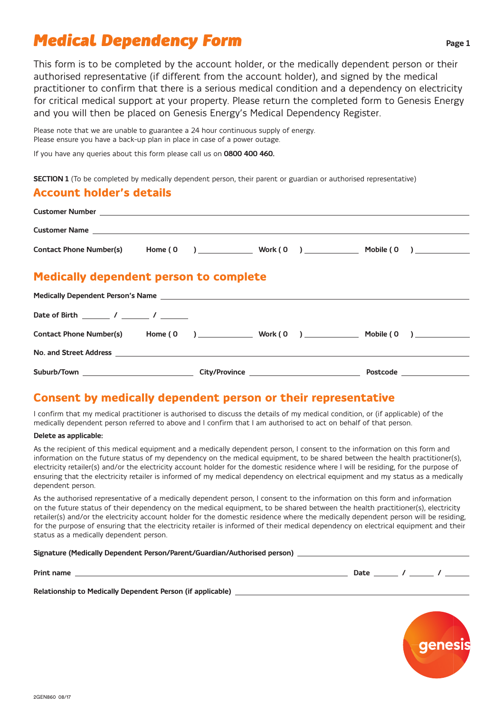# *Medical Dependency Form*

This form is to be completed by the account holder, or the medically dependent person or their authorised representative (if different from the account holder), and signed by the medical practitioner to confirm that there is a serious medical condition and a dependency on electricity for critical medical support at your property. Please return the completed form to Genesis Energy and you will then be placed on Genesis Energy's Medical Dependency Register.

Please note that we are unable to guarantee a 24 hour continuous supply of energy. Please ensure you have a back-up plan in place in case of a power outage.

If you have any queries about this form please call us on **0800 400 460.**

**SECTION 1** (To be completed by medically dependent person, their parent or guardian or authorised representative)

## **Account holder's details**

| <b>Medically dependent person to complete</b>           |  |  |  |
|---------------------------------------------------------|--|--|--|
|                                                         |  |  |  |
|                                                         |  |  |  |
| Contact Phone Number(s) Home (0 ) Work (0 ) Mobile (0 ) |  |  |  |
|                                                         |  |  |  |

## **Consent by medically dependent person or their representative**

**Suburb/Town City/Province Postcode** 

I confirm that my medical practitioner is authorised to discuss the details of my medical condition, or (if applicable) of the medically dependent person referred to above and I confirm that I am authorised to act on behalf of that person.

#### **Delete as applicable:**

As the recipient of this medical equipment and a medically dependent person, I consent to the information on this form and information on the future status of my dependency on the medical equipment, to be shared between the health practitioner(s), electricity retailer(s) and/or the electricity account holder for the domestic residence where I will be residing, for the purpose of ensuring that the electricity retailer is informed of my medical dependency on electrical equipment and my status as a medically dependent person.

As the authorised representative of a medically dependent person, I consent to the information on this form and information on the future status of their dependency on the medical equipment, to be shared between the health practitioner(s), electricity retailer(s) and/or the electricity account holder for the domestic residence where the medically dependent person will be residing, for the purpose of ensuring that the electricity retailer is informed of their medical dependency on electrical equipment and their status as a medically dependent person.

#### **Signature (Medically Dependent Person/Parent/Guardian/Authorised person)**

**Print name Date / /** 

**Relationship to Medically Dependent Person (if applicable)** 

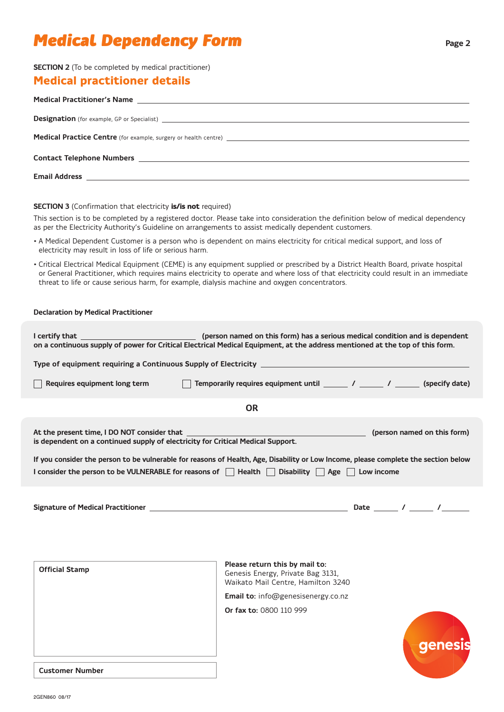# *Medical Dependency Form*

## **SECTION 2** (To be completed by medical practitioner)

## **Medical practitioner details**

| <b>Designation</b> (for example, GP or Specialist) <b>Superior Contract Contract Contract Contract Contract Contract Contract Contract Contract Contract Contract Contract Contract Contract Contract Contract Contract Contract Cont</b> |
|-------------------------------------------------------------------------------------------------------------------------------------------------------------------------------------------------------------------------------------------|
|                                                                                                                                                                                                                                           |
|                                                                                                                                                                                                                                           |
|                                                                                                                                                                                                                                           |
|                                                                                                                                                                                                                                           |
|                                                                                                                                                                                                                                           |
|                                                                                                                                                                                                                                           |
|                                                                                                                                                                                                                                           |

**SECTION 3** (Confirmation that electricity **is/is not** required)

This section is to be completed by a registered doctor. Please take into consideration the definition below of medical dependency as per the Electricity Authority's Guideline on arrangements to assist medically dependent customers.

- A Medical Dependent Customer is a person who is dependent on mains electricity for critical medical support, and loss of electricity may result in loss of life or serious harm.
- Critical Electrical Medical Equipment (CEME) is any equipment supplied or prescribed by a District Health Board, private hospital or General Practitioner, which requires mains electricity to operate and where loss of that electricity could result in an immediate threat to life or cause serious harm, for example, dialysis machine and oxygen concentrators.

### **Declaration by Medical Practitioner**

|                                                                                                                                     | on a continuous supply of power for Critical Electrical Medical Equipment, at the address mentioned at the top of this form.                                               |  |  |  |  |  |
|-------------------------------------------------------------------------------------------------------------------------------------|----------------------------------------------------------------------------------------------------------------------------------------------------------------------------|--|--|--|--|--|
|                                                                                                                                     |                                                                                                                                                                            |  |  |  |  |  |
| Requires equipment long term                                                                                                        | Temporarily requires equipment until ______ / _____ / _____ (specify date)                                                                                                 |  |  |  |  |  |
| <b>OR</b>                                                                                                                           |                                                                                                                                                                            |  |  |  |  |  |
| is dependent on a continued supply of electricity for Critical Medical Support.                                                     |                                                                                                                                                                            |  |  |  |  |  |
| If you consider the person to be vulnerable for reasons of Health, Age, Disability or Low Income, please complete the section below |                                                                                                                                                                            |  |  |  |  |  |
| I consider the person to be VULNERABLE for reasons of $\Box$ Health $\Box$ Disability $\Box$ Age $\Box$ Low income                  |                                                                                                                                                                            |  |  |  |  |  |
|                                                                                                                                     |                                                                                                                                                                            |  |  |  |  |  |
| <b>Official Stamp</b>                                                                                                               | Please return this by mail to:<br>Genesis Energy, Private Bag 3131,<br>Waikato Mail Centre, Hamilton 3240<br>Email to: info@genesisenergy.co.nz<br>Or fax to: 0800 110 999 |  |  |  |  |  |
| <b>Customer Number</b>                                                                                                              |                                                                                                                                                                            |  |  |  |  |  |